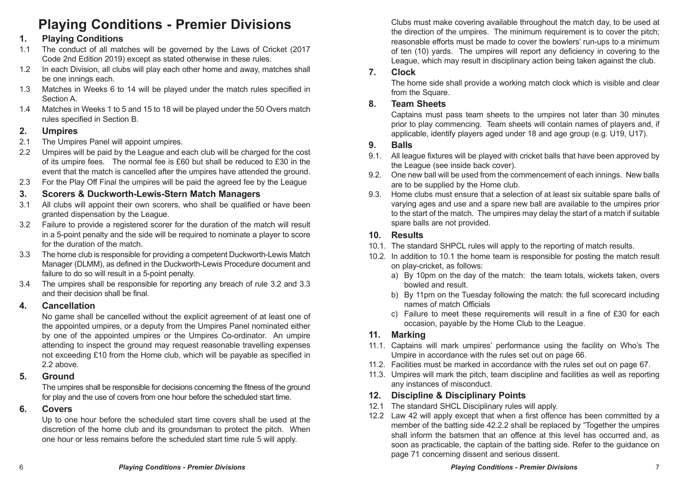# **Playing Conditions - Premier Divisions**

## **1. Playing Conditions**

- 1.1 The conduct of all matches will be governed by the Laws of Cricket (2017 Code 2nd Edition 2019) except as stated otherwise in these rules.
- 1.2 In each Division, all clubs will play each other home and away, matches shall be one innings each.
- 1.3 Matches in Weeks 6 to 14 will be played under the match rules specified in Section A.
- 1.4 Matches in Weeks 1 to 5 and 15 to 18 will be played under the 50 Overs match rules specified in Section B.

# **2. Umpires**

- The Umpires Panel will appoint umpires
- 2.2 Umpires will be paid by the League and each club will be charged for the cost of its umpire fees. The normal fee is £60 but shall be reduced to £30 in the event that the match is cancelled after the umpires have attended the ground.
- 2.3 For the Play Off Final the umpires will be paid the agreed fee by the League

## **3. Scorers & Duckworth-Lewis-Stern Match Managers**

- 3.1 All clubs will appoint their own scorers, who shall be qualified or have been granted dispensation by the League.
- 3.2 Failure to provide a registered scorer for the duration of the match will result in a 5-point penalty and the side will be required to nominate a player to score for the duration of the match.
- 3.3 The home club is responsible for providing a competent Duckworth-Lewis Match Manager (DLMM), as defined in the Duckworth-Lewis Procedure document and failure to do so will result in a 5-point penalty.
- 3.4 The umpires shall be responsible for reporting any breach of rule 3.2 and 3.3 and their decision shall be final.

#### **4. Cancellation**

No game shall be cancelled without the explicit agreement of at least one of the appointed umpires, or a deputy from the Umpires Panel nominated either by one of the appointed umpires or the Umpires Co-ordinator. An umpire attending to inspect the ground may request reasonable travelling expenses not exceeding £10 from the Home club, which will be payable as specified in 2.2 above.

#### **5. Ground**

The umpires shall be responsible for decisions concerning the fitness of the ground for play and the use of covers from one hour before the scheduled start time.

#### **6. Covers**

Up to one hour before the scheduled start time covers shall be used at the discretion of the home club and its groundsman to protect the pitch. When one hour or less remains before the scheduled start time rule 5 will apply.

Clubs must make covering available throughout the match day, to be used at the direction of the umpires. The minimum requirement is to cover the pitch; reasonable efforts must be made to cover the bowlers' run-ups to a minimum of ten (10) yards. The umpires will report any deficiency in covering to the League, which may result in disciplinary action being taken against the club.

#### **7. Clock**

The home side shall provide a working match clock which is visible and clear from the Square.

## **8. Team Sheets**

Captains must pass team sheets to the umpires not later than 30 minutes prior to play commencing. Team sheets will contain names of players and, if applicable, identify players aged under 18 and age group (e.g. U19, U17).

## **9. Balls**

- 9.1. All league fixtures will be played with cricket balls that have been approved by the League (see inside back cover).
- 9.2. One new ball will be used from the commencement of each innings. New balls are to be supplied by the Home club.
- 9.3. Home clubs must ensure that a selection of at least six suitable spare balls of varying ages and use and a spare new ball are available to the umpires prior to the start of the match. The umpires may delay the start of a match if suitable spare balls are not provided.

#### **10. Results**

- 10.1. The standard SHPCL rules will apply to the reporting of match results.
- 10.2. In addition to 10.1 the home team is responsible for posting the match result on play-cricket, as follows:
	- a) By 10pm on the day of the match: the team totals, wickets taken, overs bowled and result.
	- b) By 11pm on the Tuesday following the match: the full scorecard including names of match Officials
	- c) Failure to meet these requirements will result in a fine of £30 for each occasion, payable by the Home Club to the League.

## **11. Marking**

- 11.1. Captains will mark umpires' performance using the facility on Who's The Umpire in accordance with the rules set out on page 66.
- 11.2. Facilities must be marked in accordance with the rules set out on page 67.
- 11.3. Umpires will mark the pitch, team discipline and facilities as well as reporting any instances of misconduct.

## **12. Discipline & Disciplinary Points**

- 12.1 The standard SHCL Disciplinary rules will apply.
- 12.2 Law 42 will apply except that when a first offence has been committed by a member of the batting side 42.2.2 shall be replaced by "Together the umpires shall inform the batsmen that an offence at this level has occurred and, as soon as practicable, the captain of the batting side. Refer to the guidance on page 71 concerning dissent and serious dissent.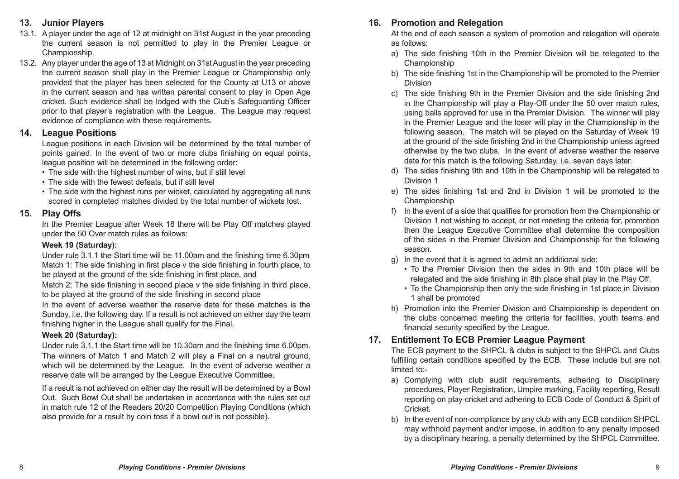#### **13. Junior Players**

- 13.1. A player under the age of 12 at midnight on 31st August in the year preceding the current season is not permitted to play in the Premier League or Championship.
- 13.2. Any player under the age of 13 at Midnight on 31st August in the year preceding the current season shall play in the Premier League or Championship only provided that the player has been selected for the County at U13 or above in the current season and has written parental consent to play in Open Age cricket. Such evidence shall be lodged with the Club's Safeguarding Officer prior to that player's registration with the League. The League may request evidence of compliance with these requirements.

#### **14. League Positions**

League positions in each Division will be determined by the total number of points gained. In the event of two or more clubs finishing on equal points, league position will be determined in the following order:

- The side with the highest number of wins, but if still level
- The side with the fewest defeats, but if still level
- The side with the highest runs per wicket, calculated by aggregating all runs scored in completed matches divided by the total number of wickets lost.

#### **15. Play Offs**

In the Premier League after Week 18 there will be Play Off matches played under the 50 Over match rules as follows:

#### **Week 19 (Saturday):**

Under rule 3.1.1 the Start time will be 11.00am and the finishing time 6.30pm Match 1: The side finishing in first place v the side finishing in fourth place, to be played at the ground of the side finishing in first place, and

Match 2: The side finishing in second place v the side finishing in third place, to be played at the ground of the side finishing in second place

In the event of adverse weather the reserve date for these matches is the Sunday, i.e. the following day. If a result is not achieved on either day the team finishing higher in the League shall qualify for the Final.

#### **Week 20 (Saturday):**

Under rule 3.1.1 the Start time will be 10.30am and the finishing time 6.00pm. The winners of Match 1 and Match 2 will play a Final on a neutral ground, which will be determined by the League. In the event of adverse weather a reserve date will be arranged by the League Executive Committee.

If a result is not achieved on either day the result will be determined by a Bowl Out. Such Bowl Out shall be undertaken in accordance with the rules set out in match rule 12 of the Readers 20/20 Competition Playing Conditions (which also provide for a result by coin toss if a bowl out is not possible).

## **16. Promotion and Relegation**

At the end of each season a system of promotion and relegation will operate as follows:

- a) The side finishing 10th in the Premier Division will be relegated to the Championship
- b) The side finishing 1st in the Championship will be promoted to the Premier Division
- c) The side finishing 9th in the Premier Division and the side finishing 2nd in the Championship will play a Play-Off under the 50 over match rules, using balls approved for use in the Premier Division. The winner will play in the Premier League and the loser will play in the Championship in the following season. The match will be played on the Saturday of Week 19 at the ground of the side finishing 2nd in the Championship unless agreed otherwise by the two clubs. In the event of adverse weather the reserve date for this match is the following Saturday, i.e. seven days later.
- d) The sides finishing 9th and 10th in the Championship will be relegated to Division 1
- e) The sides finishing 1st and 2nd in Division 1 will be promoted to the Championship
- f) In the event of a side that qualifies for promotion from the Championship or Division 1 not wishing to accept, or not meeting the criteria for, promotion then the League Executive Committee shall determine the composition of the sides in the Premier Division and Championship for the following season.
- g) In the event that it is agreed to admit an additional side:
	- To the Premier Division then the sides in 9th and 10th place will be relegated and the side finishing in 8th place shall play in the Play Off.
	- To the Championship then only the side finishing in 1st place in Division 1 shall be promoted
- h) Promotion into the Premier Division and Championship is dependent on the clubs concerned meeting the criteria for facilities, youth teams and financial security specified by the League.

## **17. Entitlement To ECB Premier League Payment**

The ECB payment to the SHPCL & clubs is subject to the SHPCL and Clubs fulfilling certain conditions specified by the ECB. These include but are not limited to:-

- a) Complying with club audit requirements, adhering to Disciplinary procedures, Player Registration, Umpire marking, Facility reporting, Result reporting on play-cricket and adhering to ECB Code of Conduct & Spirit of Cricket.
- b) In the event of non-compliance by any club with any ECB condition SHPCL may withhold payment and/or impose, in addition to any penalty imposed by a disciplinary hearing, a penalty determined by the SHPCL Committee.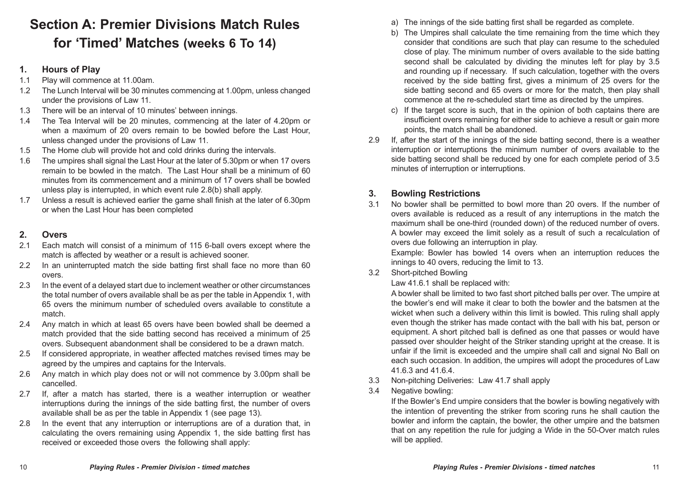# **Section A: Premier Divisions Match Rules for 'Timed' Matches (weeks 6 To 14)**

#### **1. Hours of Play**

- 1.1 Play will commence at 11.00am.
- 1.2 The Lunch Interval will be 30 minutes commencing at 1.00pm, unless changed under the provisions of Law 11.
- 1.3 There will be an interval of 10 minutes' between innings.
- 1.4 The Tea Interval will be 20 minutes, commencing at the later of 4.20pm or when a maximum of 20 overs remain to be bowled before the Last Hour, unless changed under the provisions of Law 11.
- 1.5 The Home club will provide hot and cold drinks during the intervals.
- 1.6 The umpires shall signal the Last Hour at the later of 5.30pm or when 17 overs remain to be bowled in the match. The Last Hour shall be a minimum of 60 minutes from its commencement and a minimum of 17 overs shall be bowled unless play is interrupted, in which event rule 2.8(b) shall apply.
- 1.7 Unless a result is achieved earlier the game shall finish at the later of 6.30pm or when the Last Hour has been completed

## **2. Overs**

- 2.1 Each match will consist of a minimum of 115 6-ball overs except where the match is affected by weather or a result is achieved sooner.
- 2.2 In an uninterrupted match the side batting first shall face no more than 60 overs.
- 2.3 In the event of a delayed start due to inclement weather or other circumstances the total number of overs available shall be as per the table in Appendix 1, with 65 overs the minimum number of scheduled overs available to constitute a match.
- 2.4 Any match in which at least 65 overs have been bowled shall be deemed a match provided that the side batting second has received a minimum of 25 overs. Subsequent abandonment shall be considered to be a drawn match.
- 2.5 If considered appropriate, in weather affected matches revised times may be agreed by the umpires and captains for the Intervals.
- 2.6 Any match in which play does not or will not commence by 3.00pm shall be cancelled.
- 2.7 If, after a match has started, there is a weather interruption or weather interruptions during the innings of the side batting first, the number of overs available shall be as per the table in Appendix 1 (see page 13).
- 2.8 In the event that any interruption or interruptions are of a duration that, in calculating the overs remaining using Appendix 1, the side batting first has received or exceeded those overs the following shall apply:
- a) The innings of the side batting first shall be regarded as complete.
- b) The Umpires shall calculate the time remaining from the time which they consider that conditions are such that play can resume to the scheduled close of play. The minimum number of overs available to the side batting second shall be calculated by dividing the minutes left for play by 3.5 and rounding up if necessary. If such calculation, together with the overs received by the side batting first, gives a minimum of 25 overs for the side batting second and 65 overs or more for the match, then play shall commence at the re-scheduled start time as directed by the umpires.
- c) If the target score is such, that in the opinion of both captains there are insufficient overs remaining for either side to achieve a result or gain more points, the match shall be abandoned.
- 2.9 If, after the start of the innings of the side batting second, there is a weather interruption or interruptions the minimum number of overs available to the side batting second shall be reduced by one for each complete period of 3.5 minutes of interruption or interruptions.

## **3. Bowling Restrictions**

3.1 No bowler shall be permitted to bowl more than 20 overs. If the number of overs available is reduced as a result of any interruptions in the match the maximum shall be one-third (rounded down) of the reduced number of overs. A bowler may exceed the limit solely as a result of such a recalculation of overs due following an interruption in play.

Example: Bowler has bowled 14 overs when an interruption reduces the innings to 40 overs, reducing the limit to 13.

3.2 Short-pitched Bowling

#### Law 41.6.1 shall be replaced with:

A bowler shall be limited to two fast short pitched balls per over. The umpire at the bowler's end will make it clear to both the bowler and the batsmen at the wicket when such a delivery within this limit is bowled. This ruling shall apply even though the striker has made contact with the ball with his bat, person or equipment. A short pitched ball is defined as one that passes or would have passed over shoulder height of the Striker standing upright at the crease. It is unfair if the limit is exceeded and the umpire shall call and signal No Ball on each such occasion. In addition, the umpires will adopt the procedures of Law 41.6.3 and 41.6.4.

- 3.3 Non-pitching Deliveries: Law 41.7 shall apply
- 3.4 Negative bowling:

If the Bowler's End umpire considers that the bowler is bowling negatively with the intention of preventing the striker from scoring runs he shall caution the bowler and inform the captain, the bowler, the other umpire and the batsmen that on any repetition the rule for judging a Wide in the 50-Over match rules will be applied.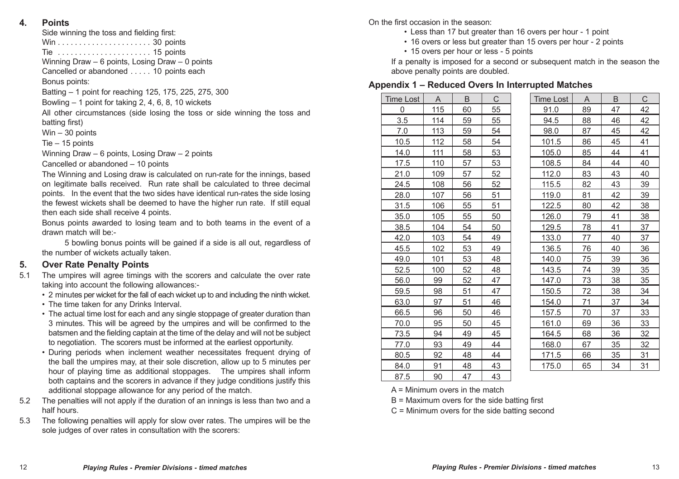**4. Points**

| Side winning the toss and fielding first: |  |
|-------------------------------------------|--|
|-------------------------------------------|--|

Win. . . 30 points Tie . . 15 points

Winning Draw – 6 points, Losing Draw – 0 points

Cancelled or abandoned . . . . . 10 points each

Bonus points:

Batting – 1 point for reaching 125, 175, 225, 275, 300

Bowling – 1 point for taking 2, 4, 6, 8, 10 wickets

All other circumstances (side losing the toss or side winning the toss and batting first)

Win – 30 points

Tie – 15 points

Winning Draw – 6 points, Losing Draw – 2 points

Cancelled or abandoned – 10 points

The Winning and Losing draw is calculated on run-rate for the innings, based on legitimate balls received. Run rate shall be calculated to three decimal points. In the event that the two sides have identical run-rates the side losing the fewest wickets shall be deemed to have the higher run rate. If still equal then each side shall receive 4 points.

Bonus points awarded to losing team and to both teams in the event of a drawn match will be:-

 5 bowling bonus points will be gained if a side is all out, regardless of the number of wickets actually taken.

#### **5. Over Rate Penalty Points**

- 5.1 The umpires will agree timings with the scorers and calculate the over rate taking into account the following allowances:-
	- 2 minutes per wicket for the fall of each wicket up to and including the ninth wicket.
	- The time taken for any Drinks Interval.
	- The actual time lost for each and any single stoppage of greater duration than 3 minutes. This will be agreed by the umpires and will be confirmed to the batsmen and the fielding captain at the time of the delay and will not be subject to negotiation. The scorers must be informed at the earliest opportunity.
	- During periods when inclement weather necessitates frequent drying of the ball the umpires may, at their sole discretion, allow up to 5 minutes per hour of playing time as additional stoppages. The umpires shall inform both captains and the scorers in advance if they judge conditions justify this additional stoppage allowance for any period of the match.
- 5.2 The penalties will not apply if the duration of an innings is less than two and a half hours.
- 5.3 The following penalties will apply for slow over rates. The umpires will be the sole judges of over rates in consultation with the scorers:

On the first occasion in the season:

- Less than 17 but greater than 16 overs per hour 1 point
- 16 overs or less but greater than 15 overs per hour 2 points
- 15 overs per hour or less 5 points

If a penalty is imposed for a second or subsequent match in the season the above penalty points are doubled.

#### **Appendix 1 – Reduced Overs In Interrupted Matches**

| <b>Time Lost</b> | $\overline{A}$ | B  | C  | <b>Time Lost</b> | A  | B  | C  |
|------------------|----------------|----|----|------------------|----|----|----|
| $\Omega$         | 115            | 60 | 55 | 91.0             | 89 | 47 | 42 |
| 3.5              | 114            | 59 | 55 | 94.5             | 88 | 46 | 42 |
| 7.0              | 113            | 59 | 54 | 98.0             | 87 | 45 | 42 |
| 10.5             | 112            | 58 | 54 | 101.5            | 86 | 45 | 41 |
| 14.0             | 111            | 58 | 53 | 105.0            | 85 | 44 | 41 |
| 17.5             | 110            | 57 | 53 | 108.5            | 84 | 44 | 40 |
| 21.0             | 109            | 57 | 52 | 112.0            | 83 | 43 | 40 |
| 24.5             | 108            | 56 | 52 | 115.5            | 82 | 43 | 39 |
| 28.0             | 107            | 56 | 51 | 119.0            | 81 | 42 | 39 |
| 31.5             | 106            | 55 | 51 | 122.5            | 80 | 42 | 38 |
| 35.0             | 105            | 55 | 50 | 126.0            | 79 | 41 | 38 |
| 38.5             | 104            | 54 | 50 | 129.5            | 78 | 41 | 37 |
| 42.0             | 103            | 54 | 49 | 133.0            | 77 | 40 | 37 |
| 45.5             | 102            | 53 | 49 | 136.5            | 76 | 40 | 36 |
| 49.0             | 101            | 53 | 48 | 140.0            | 75 | 39 | 36 |
| 52.5             | 100            | 52 | 48 | 143.5            | 74 | 39 | 35 |
| 56.0             | 99             | 52 | 47 | 147.0            | 73 | 38 | 35 |
| 59.5             | 98             | 51 | 47 | 150.5            | 72 | 38 | 34 |
| 63.0             | 97             | 51 | 46 | 154.0            | 71 | 37 | 34 |
| 66.5             | 96             | 50 | 46 | 157.5            | 70 | 37 | 33 |
| 70.0             | 95             | 50 | 45 | 161.0            | 69 | 36 | 33 |
| 73.5             | 94             | 49 | 45 | 164.5            | 68 | 36 | 32 |
| 77.0             | 93             | 49 | 44 | 168.0            | 67 | 35 | 32 |
| 80.5             | 92             | 48 | 44 | 171.5            | 66 | 35 | 31 |
| 84.0             | 91             | 48 | 43 | 175.0            | 65 | 34 | 31 |
| 87.5             | 90             | 47 | 43 |                  |    |    |    |

A = Minimum overs in the match B = Maximum overs for the side batting first

C = Minimum overs for the side batting second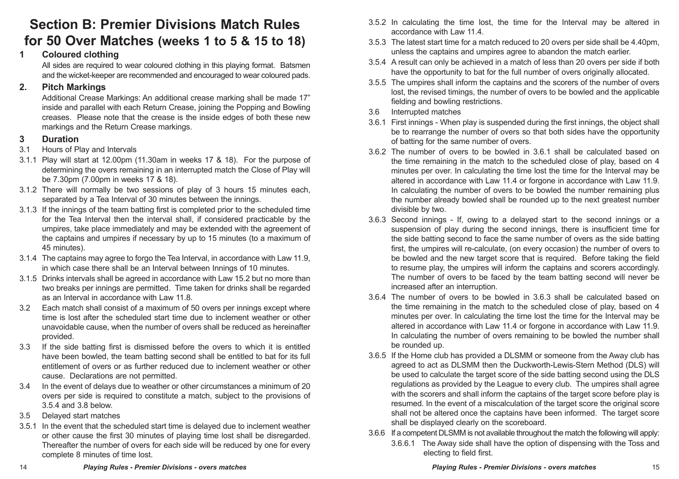## **Section B: Premier Divisions Match Rules for 50 Over Matches (weeks 1 to 5 & 15 to 18)**

#### **1 Coloured clothing**

All sides are required to wear coloured clothing in this playing format. Batsmen and the wicket-keeper are recommended and encouraged to wear coloured pads.

#### **2. Pitch Markings**

Additional Crease Markings: An additional crease marking shall be made 17" inside and parallel with each Return Crease, joining the Popping and Bowling creases. Please note that the crease is the inside edges of both these new markings and the Return Crease markings.

#### **3 Duration**

- 3.1 Hours of Play and Intervals
- 3.1.1 Play will start at 12.00pm (11.30am in weeks 17 & 18). For the purpose of determining the overs remaining in an interrupted match the Close of Play will be 7.30pm (7.00pm in weeks 17 & 18).
- 3.1.2 There will normally be two sessions of play of 3 hours 15 minutes each, separated by a Tea Interval of 30 minutes between the innings.
- 3.1.3 If the innings of the team batting first is completed prior to the scheduled time for the Tea Interval then the interval shall, if considered practicable by the umpires, take place immediately and may be extended with the agreement of the captains and umpires if necessary by up to 15 minutes (to a maximum of 45 minutes).
- 3.1.4 The captains may agree to forgo the Tea Interval, in accordance with Law 11.9, in which case there shall be an Interval between Innings of 10 minutes.
- 3.1.5 Drinks intervals shall be agreed in accordance with Law 15.2 but no more than two breaks per innings are permitted. Time taken for drinks shall be regarded as an Interval in accordance with Law 11.8.
- 3.2 Each match shall consist of a maximum of 50 overs per innings except where time is lost after the scheduled start time due to inclement weather or other unavoidable cause, when the number of overs shall be reduced as hereinafter provided.
- 3.3 If the side batting first is dismissed before the overs to which it is entitled have been bowled, the team batting second shall be entitled to bat for its full entitlement of overs or as further reduced due to inclement weather or other cause. Declarations are not permitted.
- 3.4 In the event of delays due to weather or other circumstances a minimum of 20 overs per side is required to constitute a match, subject to the provisions of 3.5.4 and 3.8 below.
- 3.5 Delayed start matches
- 3.5.1 In the event that the scheduled start time is delayed due to inclement weather or other cause the first 30 minutes of playing time lost shall be disregarded. Thereafter the number of overs for each side will be reduced by one for every complete 8 minutes of time lost.
- 3.5.2 In calculating the time lost, the time for the Interval may be altered in accordance with Law 11.4.
- 3.5.3 The latest start time for a match reduced to 20 overs per side shall be 4.40pm, unless the captains and umpires agree to abandon the match earlier.
- 3.5.4 A result can only be achieved in a match of less than 20 overs per side if both have the opportunity to bat for the full number of overs originally allocated.
- 3.5.5 The umpires shall inform the captains and the scorers of the number of overs lost, the revised timings, the number of overs to be bowled and the applicable fielding and bowling restrictions.
- 3.6 Interrupted matches
- 3.6.1 First innings When play is suspended during the first innings, the object shall be to rearrange the number of overs so that both sides have the opportunity of batting for the same number of overs.
- 3.6.2 The number of overs to be bowled in 3.6.1 shall be calculated based on the time remaining in the match to the scheduled close of play, based on 4 minutes per over. In calculating the time lost the time for the Interval may be altered in accordance with Law 11.4 or forgone in accordance with Law 11.9. In calculating the number of overs to be bowled the number remaining plus the number already bowled shall be rounded up to the next greatest number divisible by two.
- 3.6.3 Second innings If, owing to a delayed start to the second innings or a suspension of play during the second innings, there is insufficient time for the side batting second to face the same number of overs as the side batting first, the umpires will re-calculate, (on every occasion) the number of overs to be bowled and the new target score that is required. Before taking the field to resume play, the umpires will inform the captains and scorers accordingly. The number of overs to be faced by the team batting second will never be increased after an interruption.
- 3.6.4 The number of overs to be bowled in 3.6.3 shall be calculated based on the time remaining in the match to the scheduled close of play, based on 4 minutes per over. In calculating the time lost the time for the Interval may be altered in accordance with Law 11.4 or forgone in accordance with Law 11.9. In calculating the number of overs remaining to be bowled the number shall be rounded up.
- 3.6.5 If the Home club has provided a DLSMM or someone from the Away club has agreed to act as DLSMM then the Duckworth-Lewis-Stern Method (DLS) will be used to calculate the target score of the side batting second using the DLS regulations as provided by the League to every club. The umpires shall agree with the scorers and shall inform the captains of the target score before play is resumed. In the event of a miscalculation of the target score the original score shall not be altered once the captains have been informed. The target score shall be displayed clearly on the scoreboard.
- 3.6.6 If a competent DLSMM is not available throughout the match the following will apply:
	- 3.6.6.1 The Away side shall have the option of dispensing with the Toss and electing to field first.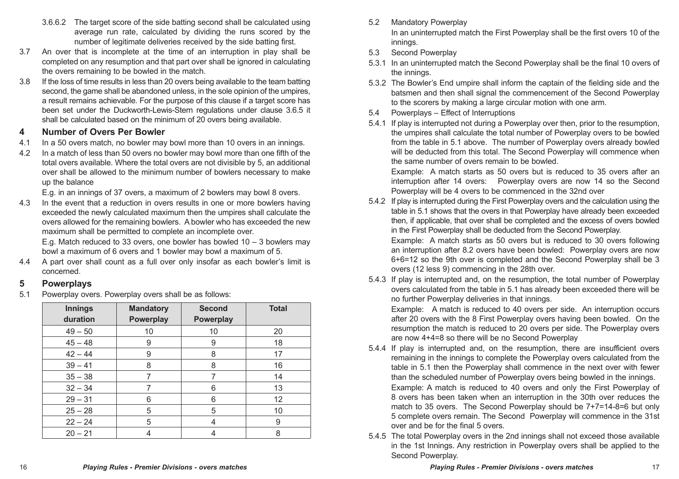- 3.6.6.2 The target score of the side batting second shall be calculated using average run rate, calculated by dividing the runs scored by the number of legitimate deliveries received by the side batting first.
- 3.7 An over that is incomplete at the time of an interruption in play shall be completed on any resumption and that part over shall be ignored in calculating the overs remaining to be bowled in the match.
- 3.8 If the loss of time results in less than 20 overs being available to the team batting second, the game shall be abandoned unless, in the sole opinion of the umpires, a result remains achievable. For the purpose of this clause if a target score has been set under the Duckworth-Lewis-Stern regulations under clause 3.6.5 it shall be calculated based on the minimum of 20 overs being available.

#### **4 Number of Overs Per Bowler**

- 4.1 In a 50 overs match, no bowler may bowl more than 10 overs in an innings.
- 4.2 In a match of less than 50 overs no bowler may bowl more than one fifth of the total overs available. Where the total overs are not divisible by 5, an additional over shall be allowed to the minimum number of bowlers necessary to make up the balance

E.g. in an innings of 37 overs, a maximum of 2 bowlers may bowl 8 overs.

4.3 In the event that a reduction in overs results in one or more bowlers having exceeded the newly calculated maximum then the umpires shall calculate the overs allowed for the remaining bowlers. A bowler who has exceeded the new maximum shall be permitted to complete an incomplete over.

E.g. Match reduced to 33 overs, one bowler has bowled  $10 - 3$  bowlers may bowl a maximum of 6 overs and 1 bowler may bowl a maximum of 5.

4.4 A part over shall count as a full over only insofar as each bowler's limit is concerned.

#### **5 Powerplays**

5.1 Powerplay overs. Powerplay overs shall be as follows:

| Innings   | <b>Mandatory</b> | Second    | <b>Total</b> |
|-----------|------------------|-----------|--------------|
| duration  | Powerplay        | Powerplay |              |
| $49 - 50$ | 10               | 10        | 20           |
| $45 - 48$ | 9                | 9         | 18           |
| $42 - 44$ | 9                | 8         | 17           |
| $39 - 41$ | 8                | 8         | 16           |
| $35 - 38$ |                  |           | 14           |
| $32 - 34$ | 7                | 6         | 13           |
| $29 - 31$ | 6                | 6         | 12           |
| $25 - 28$ | 5                | 5         | 10           |
| $22 - 24$ | 5                | 4         | 9            |
| $20 - 21$ |                  |           | 8            |

5.2 Mandatory Powerplay

In an uninterrupted match the First Powerplay shall be the first overs 10 of the innings.

- 5.3 Second Powerplay
- 5.3.1 In an uninterrupted match the Second Powerplay shall be the final 10 overs of the innings.
- 5.3.2 The Bowler's End umpire shall inform the captain of the fielding side and the batsmen and then shall signal the commencement of the Second Powerplay to the scorers by making a large circular motion with one arm.
- 5.4 Powerplays Effect of Interruptions
- 5.4.1 If play is interrupted not during a Powerplay over then, prior to the resumption, the umpires shall calculate the total number of Powerplay overs to be bowled from the table in 5.1 above. The number of Powerplay overs already bowled will be deducted from this total. The Second Powerplay will commence when the same number of overs remain to be bowled.

Example: A match starts as 50 overs but is reduced to 35 overs after an interruption after 14 overs: Powerplay overs are now 14 so the Second Powerplay will be 4 overs to be commenced in the 32nd over

5.4.2 If play is interrupted during the First Powerplay overs and the calculation using the table in 5.1 shows that the overs in that Powerplay have already been exceeded then, if applicable, that over shall be completed and the excess of overs bowled in the First Powerplay shall be deducted from the Second Powerplay.

Example: A match starts as 50 overs but is reduced to 30 overs following an interruption after 8.2 overs have been bowled: Powerplay overs are now 6+6=12 so the 9th over is completed and the Second Powerplay shall be 3 overs (12 less 9) commencing in the 28th over.

5.4.3 If play is interrupted and, on the resumption, the total number of Powerplay overs calculated from the table in 5.1 has already been exceeded there will be no further Powerplay deliveries in that innings.

Example: A match is reduced to 40 overs per side. An interruption occurs after 20 overs with the 8 First Powerplay overs having been bowled. On the resumption the match is reduced to 20 overs per side. The Powerplay overs are now 4+4=8 so there will be no Second Powerplay

- 5.4.4 If play is interrupted and, on the resumption, there are insufficient overs remaining in the innings to complete the Powerplay overs calculated from the table in 5.1 then the Powerplay shall commence in the next over with fewer than the scheduled number of Powerplay overs being bowled in the innings. Example: A match is reduced to 40 overs and only the First Powerplay of 8 overs has been taken when an interruption in the 30th over reduces the match to 35 overs. The Second Powerplay should be 7+7=14-8=6 but only 5 complete overs remain. The Second Powerplay will commence in the 31st over and be for the final 5 overs.
- 5.4.5 The total Powerplay overs in the 2nd innings shall not exceed those available in the 1st Innings. Any restriction in Powerplay overs shall be applied to the Second Powerplay.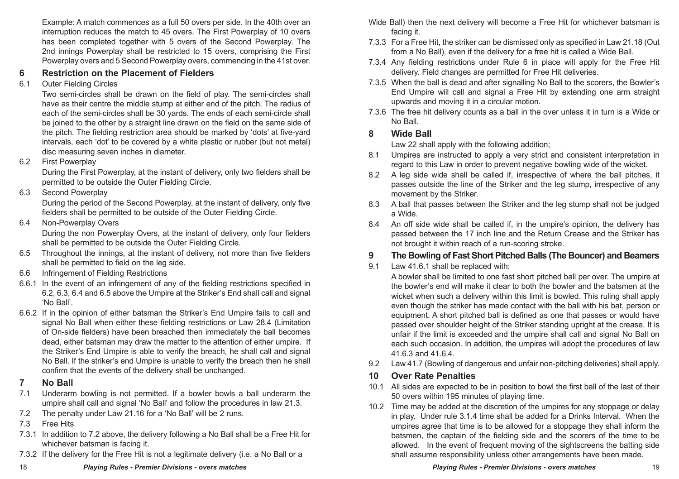Example: A match commences as a full 50 overs per side. In the 40th over an interruption reduces the match to 45 overs. The First Powerplay of 10 overs has been completed together with 5 overs of the Second Powerplay. The 2nd innings Powerplay shall be restricted to 15 overs, comprising the First Powerplay overs and 5 Second Powerplay overs, commencing in the 41st over.

#### **6 Restriction on the Placement of Fielders**

6.1 Outer Fielding Circles

Two semi-circles shall be drawn on the field of play. The semi-circles shall have as their centre the middle stump at either end of the pitch. The radius of each of the semi-circles shall be 30 yards. The ends of each semi-circle shall be joined to the other by a straight line drawn on the field on the same side of the pitch. The fielding restriction area should be marked by 'dots' at five-yard intervals, each 'dot' to be covered by a white plastic or rubber (but not metal) disc measuring seven inches in diameter.

6.2 First Powerplay

During the First Powerplay, at the instant of delivery, only two fielders shall be permitted to be outside the Outer Fielding Circle.

6.3 Second Powerplay

During the period of the Second Powerplay, at the instant of delivery, only five fielders shall be permitted to be outside of the Outer Fielding Circle.

6.4 Non-Powerplay Overs

During the non Powerplay Overs, at the instant of delivery, only four fielders shall be permitted to be outside the Outer Fielding Circle.

- 6.5 Throughout the innings, at the instant of delivery, not more than five fielders shall be permitted to field on the leg side.
- 6.6 Infringement of Fielding Restrictions
- 6.6.1 In the event of an infringement of any of the fielding restrictions specified in 6.2, 6.3, 6.4 and 6.5 above the Umpire at the Striker's End shall call and signal 'No Ball'.
- 6.6.2 If in the opinion of either batsman the Striker's End Umpire fails to call and signal No Ball when either these fielding restrictions or Law 28.4 (Limitation of On-side fielders) have been breached then immediately the ball becomes dead, either batsman may draw the matter to the attention of either umpire. If the Striker's End Umpire is able to verify the breach, he shall call and signal No Ball. If the striker's end Umpire is unable to verify the breach then he shall confirm that the events of the delivery shall be unchanged.
- **7 No Ball**
- 7.1 Underarm bowling is not permitted. If a bowler bowls a ball underarm the umpire shall call and signal 'No Ball' and follow the procedures in law 21.3.
- 7.2 The penalty under Law 21.16 for a 'No Ball' will be 2 runs.
- 7.3 Free Hits
- 7.3.1 In addition to 7.2 above, the delivery following a No Ball shall be a Free Hit for whichever batsman is facing it.
- 7.3.2 If the delivery for the Free Hit is not a legitimate delivery (i.e. a No Ball or a
- 7.3.3 For a Free Hit, the striker can be dismissed only as specified in Law 21.18 (Out from a No Ball), even if the delivery for a free hit is called a Wide Ball.
- 7.3.4 Any fielding restrictions under Rule 6 in place will apply for the Free Hit delivery. Field changes are permitted for Free Hit deliveries.
- 7.3.5 When the ball is dead and after signalling No Ball to the scorers, the Bowler's End Umpire will call and signal a Free Hit by extending one arm straight upwards and moving it in a circular motion.
- 7.3.6 The free hit delivery counts as a ball in the over unless it in turn is a Wide or No Ball.

#### **8 Wide Ball**

Law 22 shall apply with the following addition;

- 8.1 Umpires are instructed to apply a very strict and consistent interpretation in regard to this Law in order to prevent negative bowling wide of the wicket.
- 8.2 A leg side wide shall be called if, irrespective of where the ball pitches, it passes outside the line of the Striker and the leg stump, irrespective of any movement by the Striker.
- 8.3 A ball that passes between the Striker and the leg stump shall not be judged a Wide.
- 8.4 An off side wide shall be called if, in the umpire's opinion, the delivery has passed between the 17 inch line and the Return Crease and the Striker has not brought it within reach of a run-scoring stroke.

#### **9 The Bowling of Fast Short Pitched Balls (The Bouncer) and Beamers**

9.1 Law 41.6.1 shall be replaced with:

A bowler shall be limited to one fast short pitched ball per over. The umpire at the bowler's end will make it clear to both the bowler and the batsmen at the wicket when such a delivery within this limit is bowled. This ruling shall apply even though the striker has made contact with the ball with his bat, person or equipment. A short pitched ball is defined as one that passes or would have passed over shoulder height of the Striker standing upright at the crease. It is unfair if the limit is exceeded and the umpire shall call and signal No Ball on each such occasion. In addition, the umpires will adopt the procedures of law 41.6.3 and 41.6.4.

9.2 Law 41.7 (Bowling of dangerous and unfair non-pitching deliveries) shall apply.

## **10 Over Rate Penalties**

- 10.1 All sides are expected to be in position to bowl the first ball of the last of their 50 overs within 195 minutes of playing time.
- 10.2 Time may be added at the discretion of the umpires for any stoppage or delay in play. Under rule 3.1.4 time shall be added for a Drinks Interval. When the umpires agree that time is to be allowed for a stoppage they shall inform the batsmen, the captain of the fielding side and the scorers of the time to be allowed. In the event of frequent moving of the sightscreens the batting side shall assume responsibility unless other arrangements have been made.